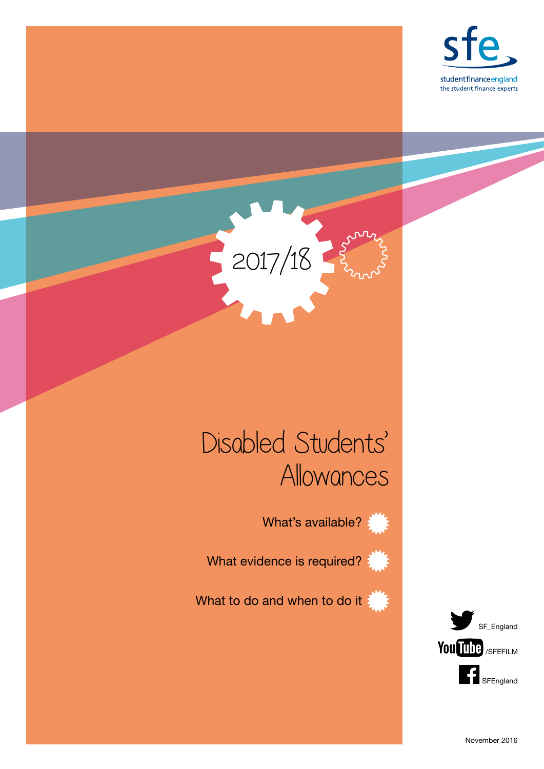



### Disabled Students' Allowances

What's available?



What to do and when to do it  $\frac{1}{2}$ 

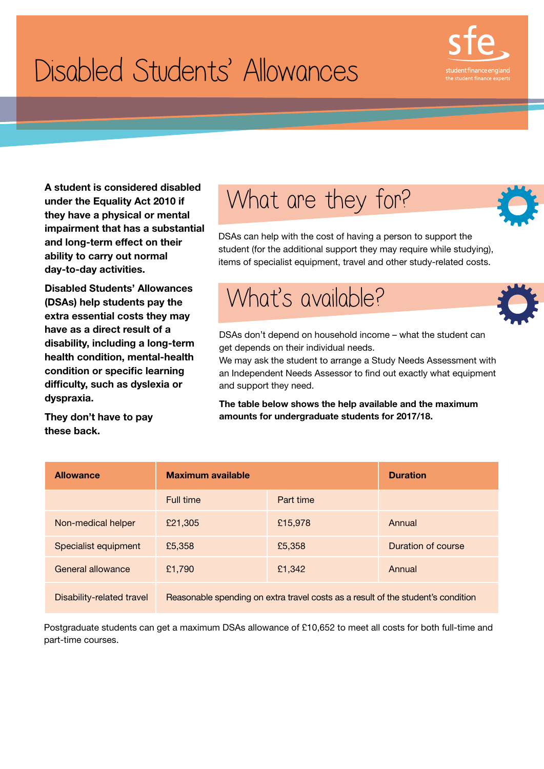# Disabled Students' Allowances



A student is considered disabled under the Equality Act 2010 if they have a physical or mental impairment that has a substantial and long-term effect on their ability to carry out normal day-to-day activities.

Disabled Students' Allowances (DSAs) help students pay the extra essential costs they may have as a direct result of a disability, including a long-term health condition, mental-health condition or specific learning difficulty, such as dyslexia or dyspraxia.

They don't have to pay these back.

### What are they for?



DSAs can help with the cost of having a person to support the student (for the additional support they may require while studying), items of specialist equipment, travel and other study-related costs.

### What's available?



DSAs don't depend on household income – what the student can get depends on their individual needs.

We may ask the student to arrange a Study Needs Assessment with an Independent Needs Assessor to find out exactly what equipment and support they need.

The table below shows the help available and the maximum amounts for undergraduate students for 2017/18.

| <b>Allowance</b>          | <b>Maximum available</b>                                                         |           | <b>Duration</b>    |
|---------------------------|----------------------------------------------------------------------------------|-----------|--------------------|
|                           | Full time                                                                        | Part time |                    |
| Non-medical helper        | £21,305                                                                          | £15,978   | Annual             |
| Specialist equipment      | £5,358                                                                           | £5,358    | Duration of course |
| General allowance         | £1,790                                                                           | £1,342    | Annual             |
| Disability-related travel | Reasonable spending on extra travel costs as a result of the student's condition |           |                    |

Postgraduate students can get a maximum DSAs allowance of £10,652 to meet all costs for both full-time and part-time courses.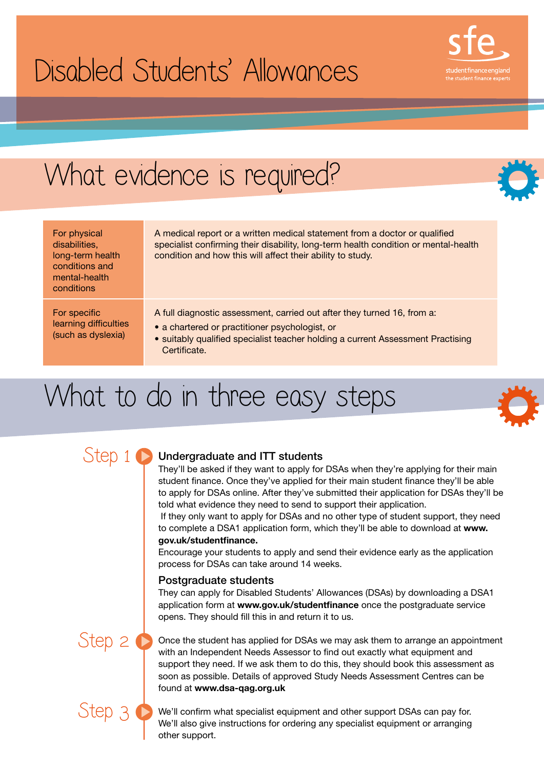# Disabled Students' Allowances





## What to do in three easy steps

![](_page_2_Picture_4.jpeg)

### Step 1 D Undergraduate and ITT students

They'll be asked if they want to apply for DSAs when they're applying for their main student finance. Once they've applied for their main student finance they'll be able to apply for DSAs online. After they've submitted their application for DSAs they'll be told what evidence they need to send to support their application.

 If they only want to apply for DSAs and no other type of student support, they need to complete a DSA1 application form, which they'll be able to download at www. gov.uk/studentfinance.

Encourage your students to apply and send their evidence early as the application process for DSAs can take around 14 weeks.

### Postgraduate students

They can apply for Disabled Students' Allowances (DSAs) by downloading a DSA1 application form at www.gov.uk/studentfinance once the postgraduate service opens. They should fill this in and return it to us.

Step 2 Once the student has applied for DSAs we may ask them to arrange an appointment with an Independent Needs Assessor to find out exactly what equipment and support they need. If we ask them to do this, they should book this assessment as soon as possible. Details of approved Study Needs Assessment Centres can be found at www.dsa-gag.org.uk

![](_page_2_Picture_14.jpeg)

Step 3 We'll confirm what specialist equipment and other support DSAs can pay for. We'll also give instructions for ordering any specialist equipment or arranging other support.